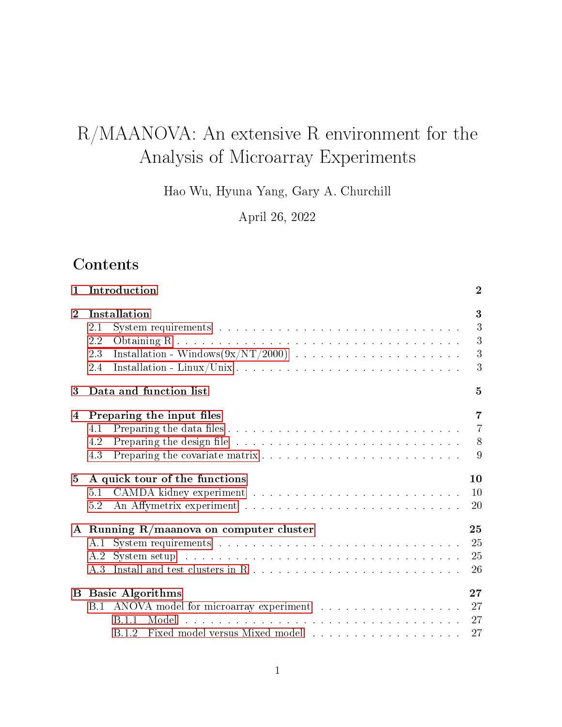# R/MAANOVA: An extensive R environment for the Analysis of Microarray Experiments

Hao Wu, Hyuna Yang, Gary A. Churchill

April 26, 2022

## **Contents**

| 1.             | Introduction                               | $\overline{2}$ |  |  |  |  |  |
|----------------|--------------------------------------------|----------------|--|--|--|--|--|
| $\overline{2}$ | Installation                               |                |  |  |  |  |  |
|                | 2.1                                        | 3              |  |  |  |  |  |
|                | 2.2                                        | 3              |  |  |  |  |  |
|                | 2.3                                        | 3              |  |  |  |  |  |
|                | 2.4                                        | 3              |  |  |  |  |  |
| 3              | Data and function list                     | 5              |  |  |  |  |  |
| 4              | Preparing the input files                  | $\overline{7}$ |  |  |  |  |  |
|                | 4.1                                        | $\overline{7}$ |  |  |  |  |  |
|                | 4.2                                        | 8              |  |  |  |  |  |
|                | 4.3                                        | 9              |  |  |  |  |  |
| 5              | A quick tour of the functions              | 10             |  |  |  |  |  |
|                | 5.1                                        | 10             |  |  |  |  |  |
|                | 5.2                                        | 20             |  |  |  |  |  |
|                | A Running $R/m$ aanova on computer cluster | 25             |  |  |  |  |  |
|                | A.1                                        | 25             |  |  |  |  |  |
|                | $A.2^-$                                    | 25             |  |  |  |  |  |
|                |                                            | 26             |  |  |  |  |  |
| $\bf B$        | <b>Basic Algorithms</b>                    | 27             |  |  |  |  |  |
|                | B.1 ANOVA model for microarray experiment  | 27             |  |  |  |  |  |
|                | B 1 1                                      | 27             |  |  |  |  |  |
|                |                                            | 27             |  |  |  |  |  |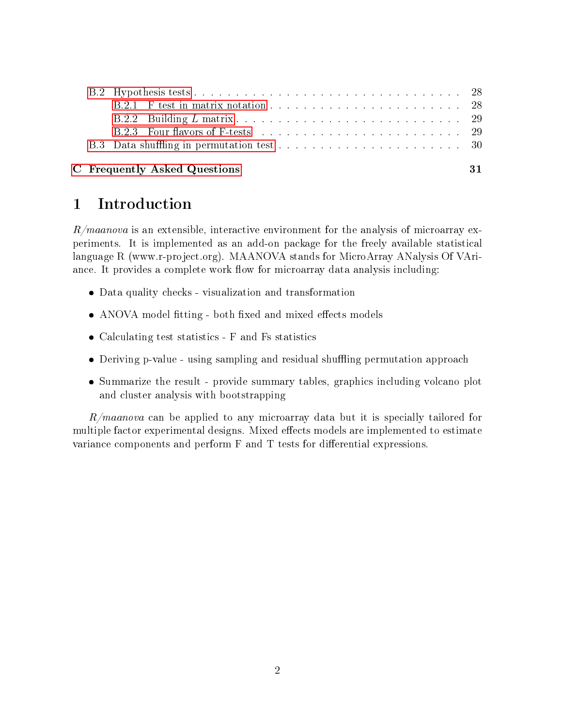|  | B.2.3 Four flavors of F-tests entering the entries and the set of the set of the set of the set of the set of the set of the set of the set of the set of the set of the set of the set of the set of the set of the set of th |    |  |  |  |  |
|--|--------------------------------------------------------------------------------------------------------------------------------------------------------------------------------------------------------------------------------|----|--|--|--|--|
|  |                                                                                                                                                                                                                                |    |  |  |  |  |
|  | C Frequently Asked Questions                                                                                                                                                                                                   | 31 |  |  |  |  |

## <span id="page-1-0"></span>1 Introduction

 $R/maanova$  is an extensible, interactive environment for the analysis of microarray experiments. It is implemented as an add-on package for the freely available statistical language R (www.r-project.org). MAANOVA stands for MicroArray ANalysis Of VAriance. It provides a complete work flow for microarray data analysis including:

- Data quality checks visualization and transformation
- ANOVA model fitting both fixed and mixed effects models
- Calculating test statistics F and Fs statistics
- Deriving p-value using sampling and residual shuffling permutation approach
- Summarize the result provide summary tables, graphics including volcano plot and cluster analysis with bootstrapping

 $R/maanova$  can be applied to any microarray data but it is specially tailored for multiple factor experimental designs. Mixed effects models are implemented to estimate variance components and perform  $F$  and  $T$  tests for differential expressions.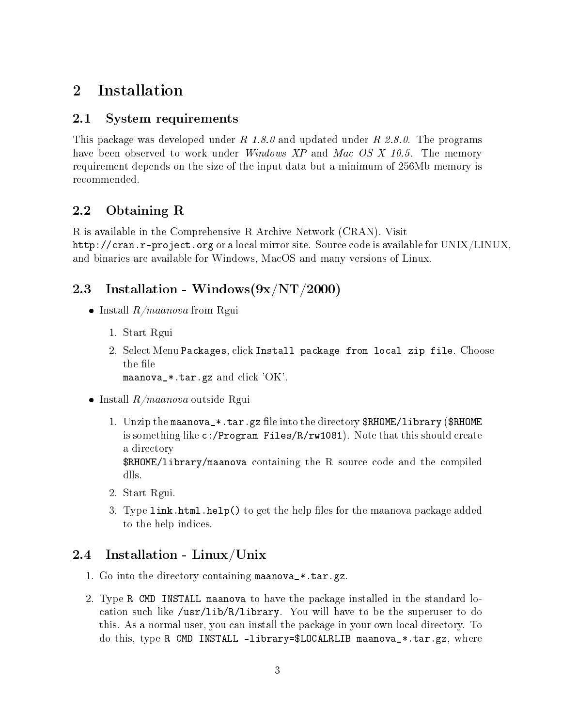## <span id="page-2-0"></span>2 Installation

## <span id="page-2-1"></span>2.1 System requirements

This package was developed under R 1.8.0 and updated under R 2.8.0. The programs have been observed to work under *Windows XP* and *Mac OS X 10.5*. The memory requirement depends on the size of the input data but a minimum of 256Mb memory is recommended.

## <span id="page-2-2"></span>2.2 Obtaining R

R is available in the Comprehensive R Archive Network (CRAN). Visit http://cran.r-project.org or a local mirror site. Source code is available for UNIX/LINUX, and binaries are available for Windows, MacOS and many versions of Linux.

## <span id="page-2-3"></span>2.3 Installation - Windows $(9x/NT/2000)$

- $\bullet$  Install  $R/maanova$  from Rgui
	- 1. Start Rgui
	- 2. Select Menu Packages, click Install package from local zip file. Choose the file maanova\_\*.tar.gz and click 'OK'.
	-
- $\bullet$  Install  $R/maanova$  outside Rgui
	- 1. Unzip the maanova\_\*.tar.gz file into the directory \$RHOME/library (\$RHOME) is something like c:/Program Files/R/rw1081). Note that this should create a directory

\$RHOME/library/maanova containing the R source code and the compiled dlls.

- 2. Start Rgui.
- 3. Type link.html.help() to get the help files for the maanova package added to the help indices.

## <span id="page-2-4"></span>2.4 Installation - Linux/Unix

- 1. Go into the directory containing maanova\_\*.tar.gz.
- 2. Type R CMD INSTALL maanova to have the package installed in the standard location such like  $\sqrt{\text{usr}/\text{lib/R}}$ library. You will have to be the superuser to do this. As a normal user, you can install the package in your own local directory. To do this, type R CMD INSTALL -library=\$LOCALRLIB maanova\_ $*$ .tar.gz, where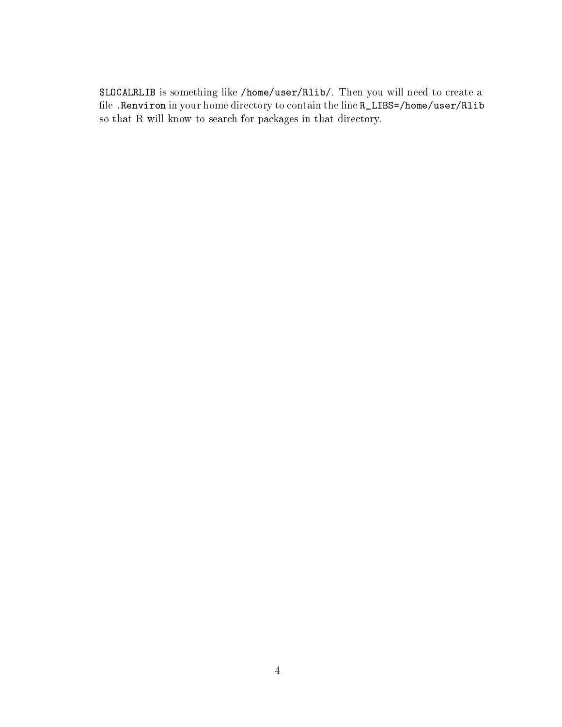\$LOCALRLIB is something like /home/user/Rlib/. Then you will need to create a file .Renviron in your home directory to contain the line R\_LIBS=/home/user/Rlib so that R will know to search for packages in that directory.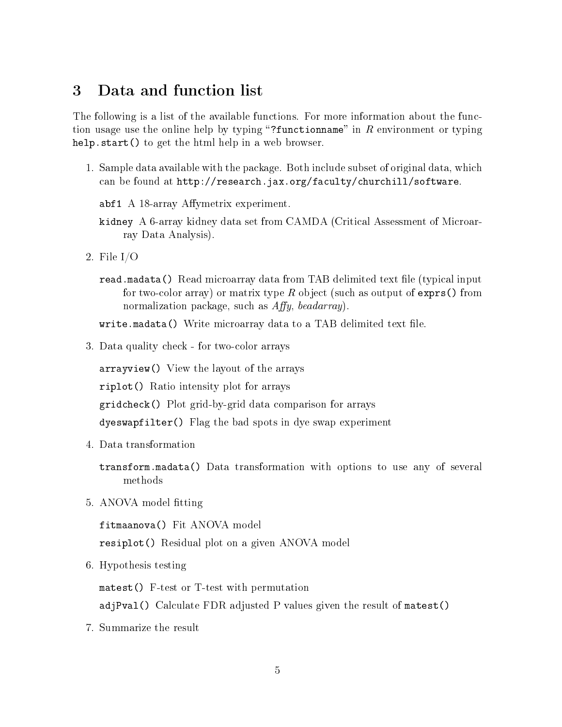## <span id="page-4-0"></span>3 Data and function list

The following is a list of the available functions. For more information about the function usage use the online help by typing "?functionname" in  $R$  environment or typing help.start() to get the html help in a web browser.

1. Sample data available with the package. Both include subset of original data, which can be found at http://research.jax.org/faculty/churchill/software.

abf1 A  $18$ -array Affymetrix experiment.

- kidney A 6-array kidney data set from CAMDA (Critical Assessment of Microarray Data Analysis).
- 2. File I/O
	- read.madata() Read microarray data from TAB delimited text file (typical input for two-color array) or matrix type  $R$  object (such as output of exprs() from normalization package, such as  $Affy$ , beadarray).

 $write \cdot$  madata() Write microarray data to a TAB delimited text file.

3. Data quality check - for two-color arrays

arrayview() View the layout of the arrays

riplot() Ratio intensity plot for arrays

gridcheck() Plot grid-by-grid data comparison for arrays

dyeswapfilter() Flag the bad spots in dye swap experiment

4. Data transformation

transform.madata() Data transformation with options to use any of several methods

5. ANOVA model fitting

fitmaanova() Fit ANOVA model

resiplot() Residual plot on a given ANOVA model

6. Hypothesis testing

matest() F-test or T-test with permutation

adjPval() Calculate FDR adjusted P values given the result of matest()

7. Summarize the result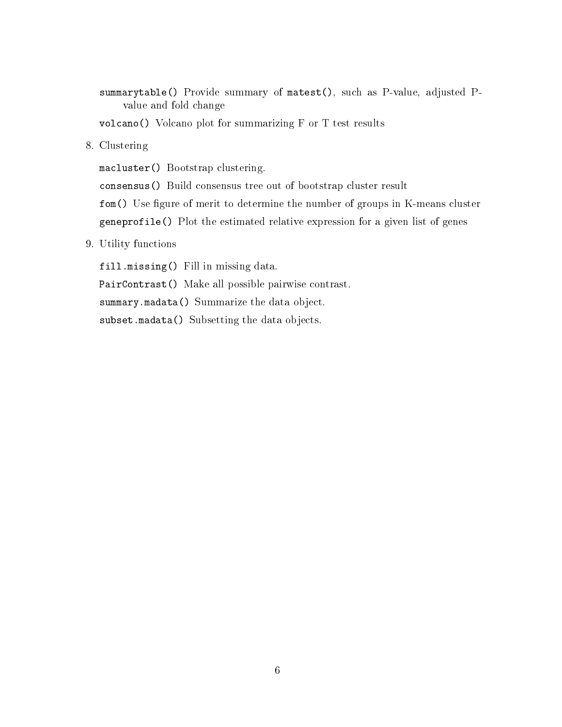summarytable() Provide summary of matest(), such as P-value, adjusted Pvalue and fold change

volcano() Volcano plot for summarizing F or T test results

8. Clustering

macluster() Bootstrap clustering.

consensus() Build consensus tree out of bootstrap cluster result

fom() Use figure of merit to determine the number of groups in K-means cluster geneprofile() Plot the estimated relative expression for a given list of genes

9. Utility functions

fill.missing() Fill in missing data. PairContrast() Make all possible pairwise contrast. summary.madata() Summarize the data object. subset.madata() Subsetting the data objects.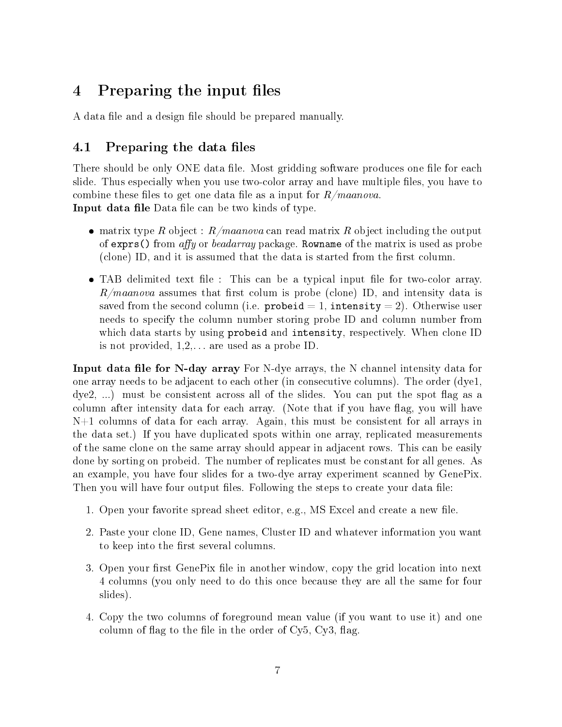## <span id="page-6-0"></span>4 Preparing the input files

A data file and a design file should be prepared manually.

## <span id="page-6-1"></span>4.1 Preparing the data files

There should be only ONE data file. Most gridding software produces one file for each slide. Thus especially when you use two-color array and have multiple files, you have to combine these files to get one data file as a input for  $R/maanova$ . **Input data file** Data file can be two kinds of type.

- matrix type R object :  $R/maanova$  can read matrix R object including the output of exprs() from affy or beadarray package. Rowname of the matrix is used as probe (clone) ID, and it is assumed that the data is started from the first column.
- TAB delimited text file : This can be a typical input file for two-color array.  $R/maanova$  assumes that first colum is probe (clone) ID, and intensity data is saved from the second column (i.e. probeid  $= 1$ , intensity  $= 2$ ). Otherwise user needs to specify the column number storing probe ID and column number from which data starts by using probeid and intensity, respectively. When clone ID is not provided,  $1, 2, \ldots$  are used as a probe ID.

Input data file for N-day array For N-dye arrays, the N channel intensity data for one array needs to be adjacent to each other (in consecutive columns). The order (dye1,  $(\text{dye2}, \ldots)$  must be consistent across all of the slides. You can put the spot flag as a column after intensity data for each array. (Note that if you have flag, you will have N+1 columns of data for each array. Again, this must be consistent for all arrays in the data set.) If you have duplicated spots within one array, replicated measurements of the same clone on the same array should appear in adjacent rows. This can be easily done by sorting on probeid. The number of replicates must be constant for all genes. As an example, you have four slides for a two-dye array experiment scanned by GenePix. Then you will have four output files. Following the steps to create your data file:

- 1. Open your favorite spread sheet editor, e.g., MS Excel and create a new file.
- 2. Paste your clone ID, Gene names, Cluster ID and whatever information you want to keep into the first several columns.
- 3. Open your first GenePix file in another window, copy the grid location into next 4 columns (you only need to do this once because they are all the same for four slides).
- 4. Copy the two columns of foreground mean value (if you want to use it) and one column of flag to the file in the order of  $Cy5$ ,  $Cy3$ , flag.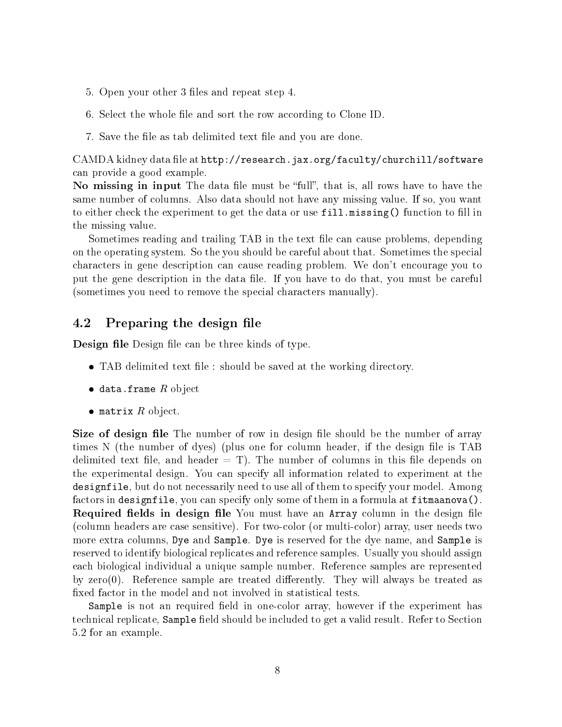- 5. Open your other 3 files and repeat step 4.
- 6. Select the whole file and sort the row according to Clone ID.
- 7. Save the file as tab delimited text file and you are done.

CAMDA kidney data file at <code>http://research.jax.org/faculty/churchill/software</code> can provide a good example.

No missing in input The data file must be "full", that is, all rows have to have the same number of columns. Also data should not have any missing value. If so, you want to either check the experiment to get the data or use fill.missing() function to fill in the missing value.

Sometimes reading and trailing TAB in the text file can cause problems, depending on the operating system. So the you should be careful about that. Sometimes the special characters in gene description can cause reading problem. We don't encourage you to put the gene description in the data file. If you have to do that, you must be careful (sometimes you need to remove the special characters manually).

### <span id="page-7-0"></span>4.2 Preparing the design file

**Design file** Design file can be three kinds of type.

- TAB delimited text file : should be saved at the working directory.
- $\bullet$  data.frame  $R$  object
- matrix  $R$  object.

Size of design file The number of row in design file should be the number of array times N (the number of dyes) (plus one for column header, if the design file is  $TAB$ delimited text file, and header  $=$  T). The number of columns in this file depends on the experimental design. You can specify all information related to experiment at the designfile, but do not necessarily need to use all of them to specify your model. Among factors in designfile, you can specify only some of them in a formula at fitmaanova(). Required fields in design file You must have an Array column in the design file (column headers are case sensitive). For two-color (or multi-color) array, user needs two more extra columns, Dye and Sample. Dye is reserved for the dye name, and Sample is reserved to identify biological replicates and reference samples. Usually you should assign each biological individual a unique sample number. Reference samples are represented by zero $(0)$ . Reference sample are treated differently. They will always be treated as xed factor in the model and not involved in statistical tests.

Sample is not an required field in one-color array, however if the experiment has technical replicate, Sample field should be included to get a valid result. Refer to Section 5.2 for an example.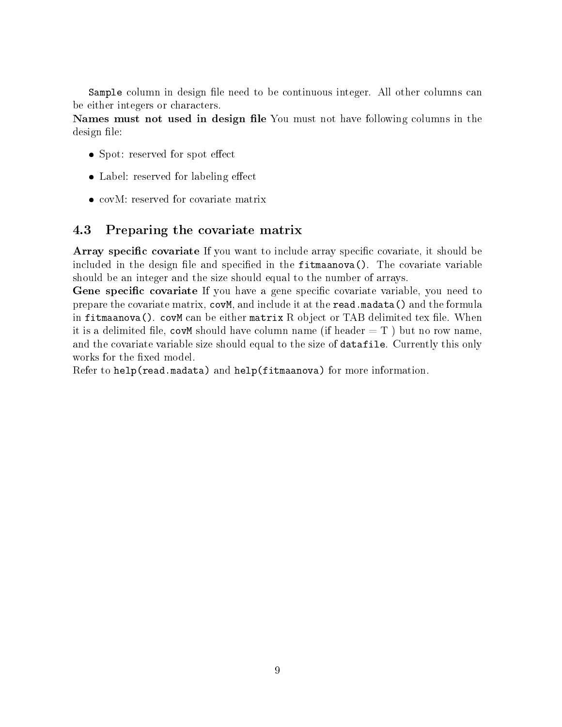Sample column in design file need to be continuous integer. All other columns can be either integers or characters.

Names must not used in design file You must not have following columns in the design file:

- Spot: reserved for spot effect
- Label: reserved for labeling effect
- covM: reserved for covariate matrix

### <span id="page-8-0"></span>4.3 Preparing the covariate matrix

Array specific covariate If you want to include array specific covariate, it should be included in the design file and specified in the  $fitmaanova()$ . The covariate variable should be an integer and the size should equal to the number of arrays.

**Gene specific covariate** If you have a gene specific covariate variable, you need to prepare the covariate matrix, covM, and include it at the read.madata() and the formula in fitmaanova(). covM can be either matrix  $R$  object or TAB delimited tex file. When it is a delimited file, covM should have column name (if header  $= T$ ) but no row name, and the covariate variable size should equal to the size of datafile. Currently this only works for the fixed model.

Refer to help(read.madata) and help(fitmaanova) for more information.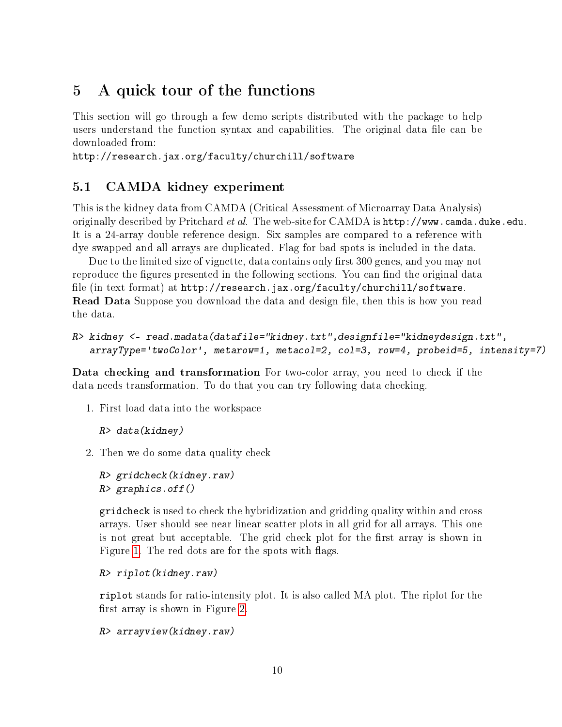## <span id="page-9-0"></span>5 A quick tour of the functions

This section will go through a few demo scripts distributed with the package to help users understand the function syntax and capabilities. The original data file can be downloaded from:

http://research.jax.org/faculty/churchill/software

### <span id="page-9-1"></span>5.1 CAMDA kidney experiment

This is the kidney data from CAMDA (Critical Assessment of Microarray Data Analysis) originally described by Pritchard et al. The web-site for CAMDA is http://www.camda.duke.edu. It is a 24-array double reference design. Six samples are compared to a reference with dye swapped and all arrays are duplicated. Flag for bad spots is included in the data.

Due to the limited size of vignette, data contains only first 300 genes, and you may not reproduce the figures presented in the following sections. You can find the original data file (in text format) at http://research.jax.org/faculty/churchill/software. **Read Data** Suppose you download the data and design file, then this is how you read the data.

```
R> kidney <- read.madata(datafile="kidney.txt",designfile="kidneydesign.txt",
   arrayType='twoColor', metarow=1, metacol=2, col=3, row=4, probeid=5, intensity=7)
```
Data checking and transformation For two-color array, you need to check if the data needs transformation. To do that you can try following data checking.

1. First load data into the workspace

```
R> data(kidney)
```
2. Then we do some data quality check

```
R> gridcheck(kidney.raw)
R> graphics.off()
```
gridcheck is used to check the hybridization and gridding quality within and cross arrays. User should see near linear scatter plots in all grid for all arrays. This one is not great but acceptable. The grid check plot for the first array is shown in Figure [1.](#page-10-0) The red dots are for the spots with flags.

```
R> riplot(kidney.raw)
```
riplot stands for ratio-intensity plot. It is also called MA plot. The riplot for the first array is shown in Figure [2.](#page-11-0)

```
R> arrayview(kidney.raw)
```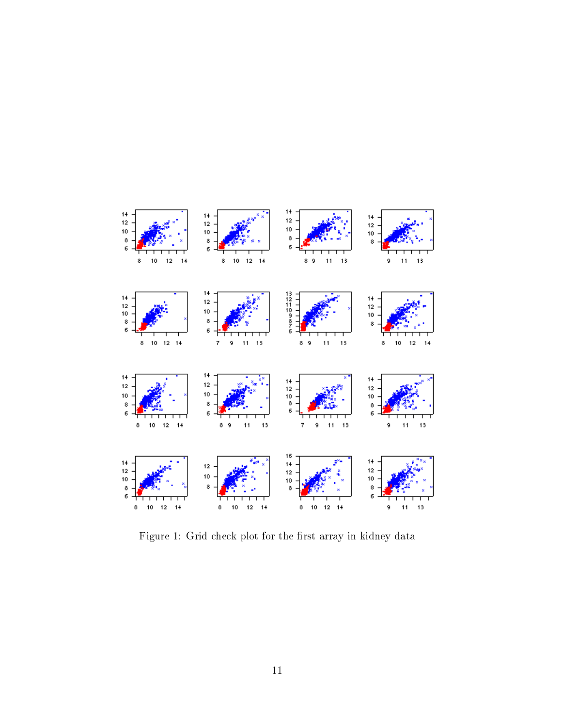

<span id="page-10-0"></span>Figure 1: Grid check plot for the first array in kidney data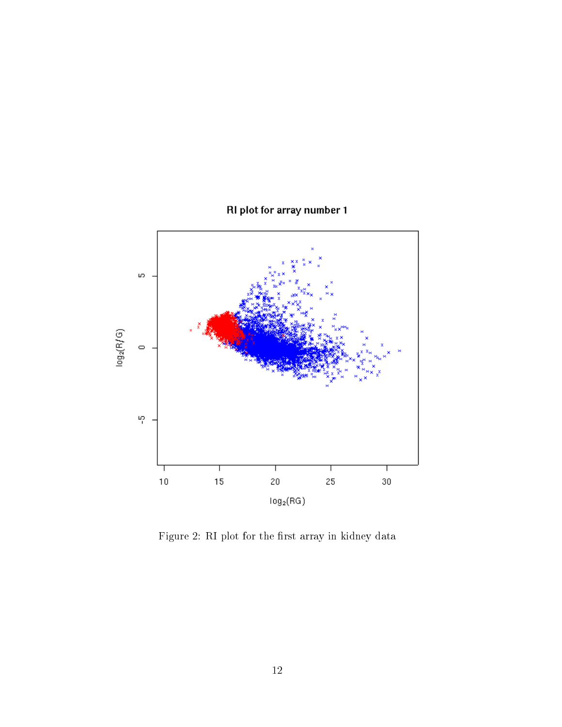



<span id="page-11-0"></span>Figure 2: RI plot for the first array in kidney data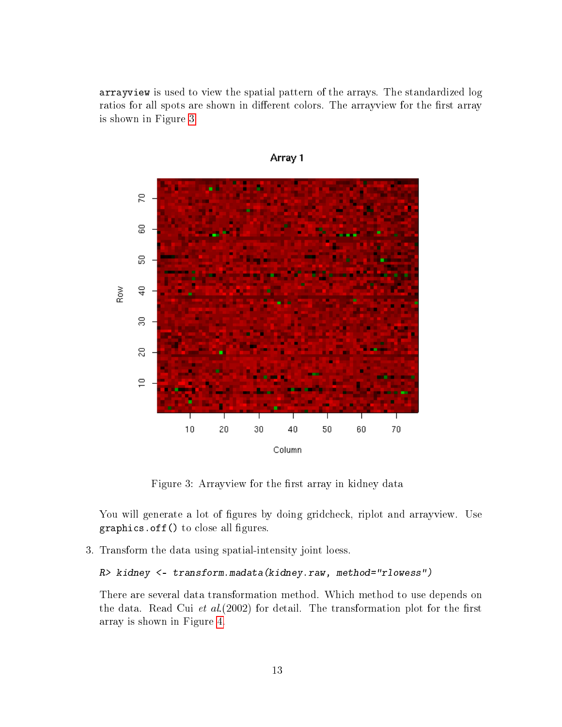arrayview is used to view the spatial pattern of the arrays. The standardized log ratios for all spots are shown in different colors. The arrayview for the first array is shown in Figure [3.](#page-12-0)



Array 1

<span id="page-12-0"></span>Figure 3: Arrayview for the first array in kidney data

You will generate a lot of figures by doing gridcheck, riplot and arrayview. Use  $graphics.$  of  $f()$  to close all figures.

3. Transform the data using spatial-intensity joint loess.

R> kidney <- transform.madata(kidney.raw, method="rlowess")

There are several data transformation method. Which method to use depends on the data. Read Cui et  $al(2002)$  for detail. The transformation plot for the first array is shown in Figure [4.](#page-13-0)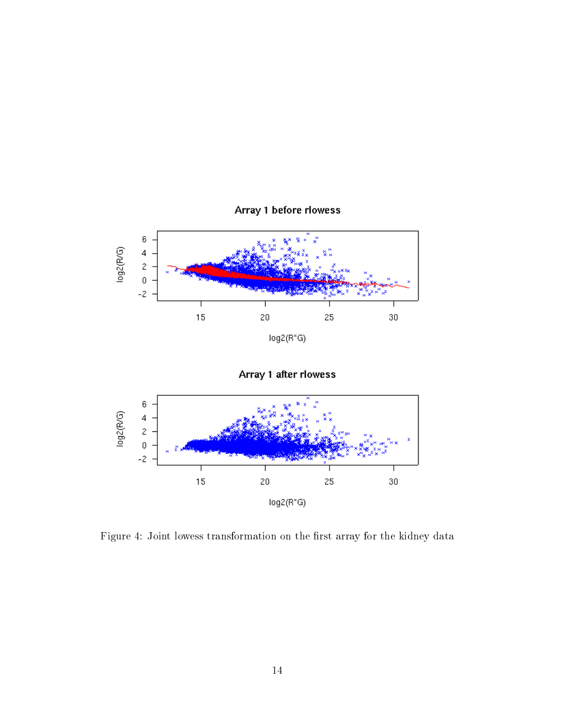

<span id="page-13-0"></span>Figure 4: Joint lowess transformation on the first array for the kidney data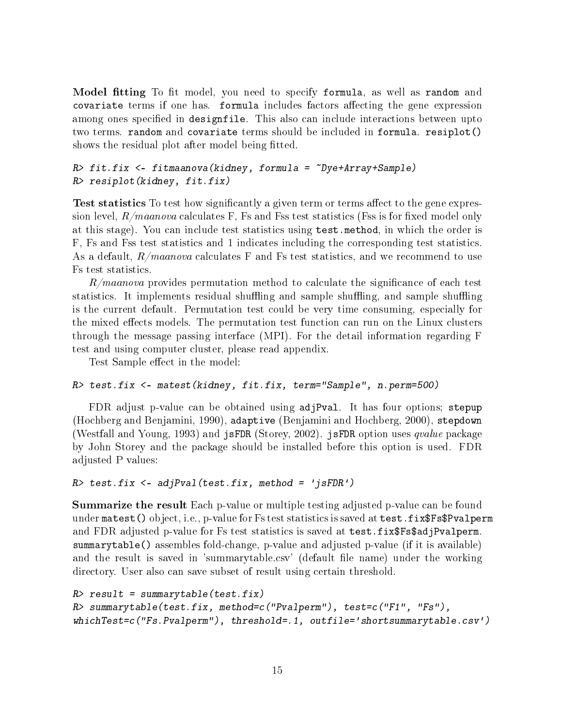Model fitting To fit model, you need to specify formula, as well as random and covariate terms if one has. formula includes factors affecting the gene expression among ones specified in designfile. This also can include interactions between upto two terms. random and covariate terms should be included in formula. resiplot() shows the residual plot after model being fitted.

#### R> fit.fix <- fitmaanova(kidney, formula = ~Dye+Array+Sample) R> resiplot(kidney, fit.fix)

**Test statistics** To test how significantly a given term or terms affect to the gene expression level,  $R/maanova$  calculates F, Fs and Fss test statistics (Fss is for fixed model only at this stage). You can include test statistics using test.method, in which the order is F, Fs and Fss test statistics and 1 indicates including the corresponding test statistics. As a default,  $R/maanova$  calculates F and Fs test statistics, and we recommend to use Fs test statistics.

 $R/maanova$  provides permutation method to calculate the significance of each test statistics. It implements residual shuffling and sample shuffling, and sample shuffling is the current default. Permutation test could be very time consuming, especially for the mixed effects models. The permutation test function can run on the Linux clusters through the message passing interface (MPI). For the detail information regarding F test and using computer cluster, please read appendix.

Test Sample effect in the model:

#### R> test.fix <- matest(kidney, fit.fix, term="Sample", n.perm=500)

FDR adjust p-value can be obtained using adjPval. It has four options; stepup (Hochberg and Benjamini, 1990), adaptive (Benjamini and Hochberg, 2000), stepdown (Westfall and Young, 1993) and jsFDR (Storey, 2002). jsFDR option uses  $qvalue$  package by John Storey and the package should be installed before this option is used. FDR adjusted P values:

```
R> test.fix <- adjPval(test.fix, method = 'jsFDR')
```
**Summarize the result** Each p-value or multiple testing adjusted p-value can be found under matest() object, i.e., p-value for Fs test statistics is saved at test.fix\$Fs\$Pvalperm and FDR adjusted p-value for Fs test statistics is saved at test.fix\$Fs\$adjPvalperm. summarytable() assembles fold-change, p-value and adjusted p-value (if it is available) and the result is saved in 'summarytable.csv' (default file name) under the working directory. User also can save subset of result using certain threshold.

```
R> result = summarytable(test.fix)
R> summarytable(test.fix, method=c("Pvalperm"), test=c("F1", "Fs"),
whichTest=c("Fs.Pvalperm"), threshold=.1, outfile='shortsummarytable.csv')
```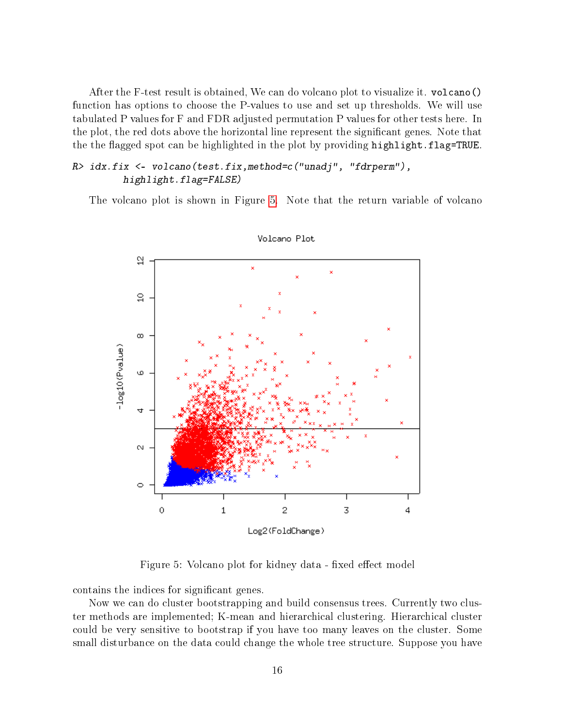After the F-test result is obtained, We can do volcano plot to visualize it. volcano() function has options to choose the P-values to use and set up thresholds. We will use tabulated P values for F and FDR adjusted permutation P values for other tests here. In the plot, the red dots above the horizontal line represent the signicant genes. Note that the the flagged spot can be highlighted in the plot by providing highlight.flag=TRUE.

### R> idx.fix <- volcano(test.fix,method=c("unadj", "fdrperm"), highlight.flag=FALSE)

The volcano plot is shown in Figure [5.](#page-15-0) Note that the return variable of volcano



Volcano Plot

<span id="page-15-0"></span>Figure 5: Volcano plot for kidney data - fixed effect model

contains the indices for significant genes.

Now we can do cluster bootstrapping and build consensus trees. Currently two cluster methods are implemented; K-mean and hierarchical clustering. Hierarchical cluster could be very sensitive to bootstrap if you have too many leaves on the cluster. Some small disturbance on the data could change the whole tree structure. Suppose you have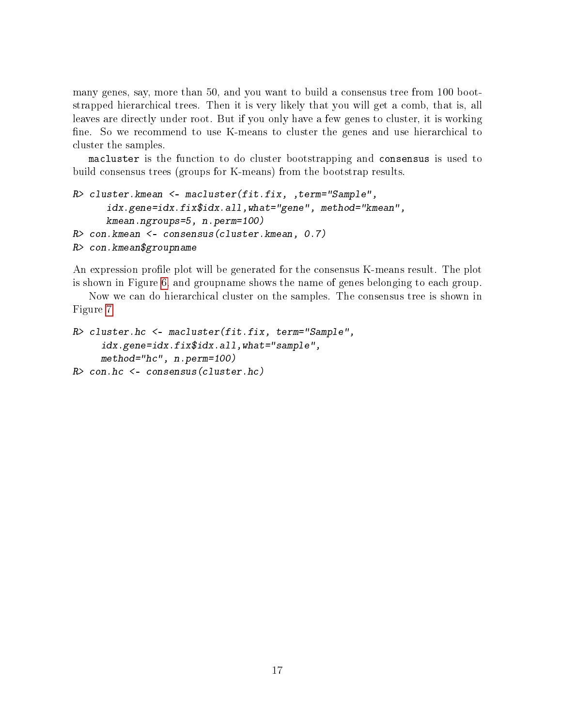many genes, say, more than 50, and you want to build a consensus tree from 100 bootstrapped hierarchical trees. Then it is very likely that you will get a comb, that is, all leaves are directly under root. But if you only have a few genes to cluster, it is working fine. So we recommend to use K-means to cluster the genes and use hierarchical to cluster the samples.

macluster is the function to do cluster bootstrapping and consensus is used to build consensus trees (groups for K-means) from the bootstrap results.

```
R> cluster.kmean <- macluster(fit.fix, ,term="Sample",
      idx.gene=idx.fix$idx.all,what="gene", method="kmean",
      kmean.ngroups=5, n.perm=100)
R> con.kmean <- consensus(cluster.kmean, 0.7)
R> con.kmean$groupname
```
An expression profile plot will be generated for the consensus K-means result. The plot is shown in Figure [6,](#page-17-0) and groupname shows the name of genes belonging to each group.

Now we can do hierarchical cluster on the samples. The consensus tree is shown in Figure [7.](#page-18-0)

```
R> cluster.hc <- macluster(fit.fix, term="Sample",
     idx.gene=idx.fix$idx.all,what="sample",
     method="hc", n.perm=100)
R> con.hc <- consensus(cluster.hc)
```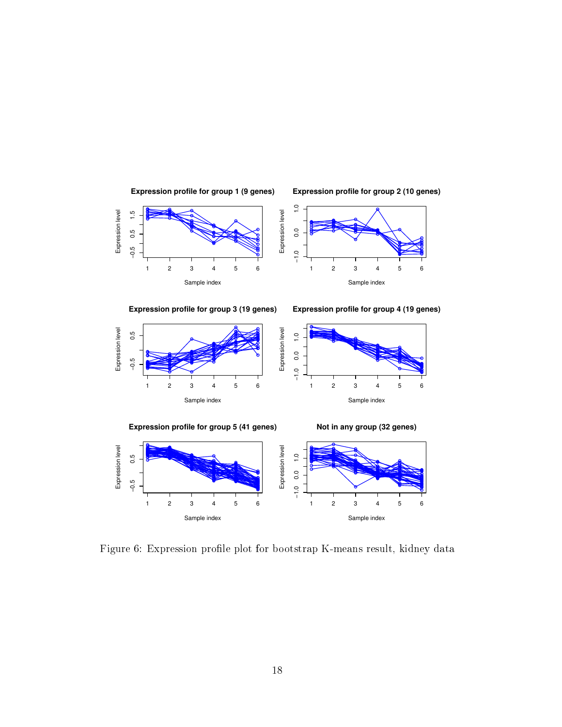





**Expression profile for group 3 (19 genes)**



**Expression profile for group 4 (19 genes)**





<span id="page-17-0"></span>Figure 6: Expression profile plot for bootstrap K-means result, kidney data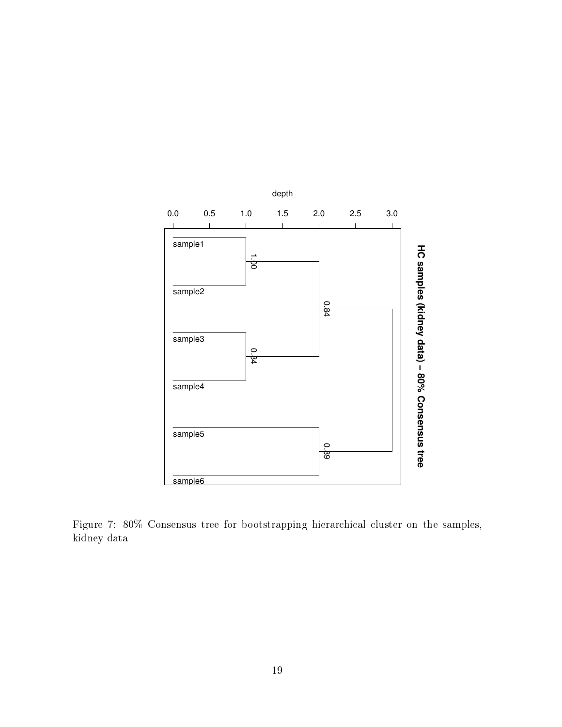

<span id="page-18-0"></span>Figure 7: 80% Consensus tree for bootstrapping hierarchical cluster on the samples, kidney data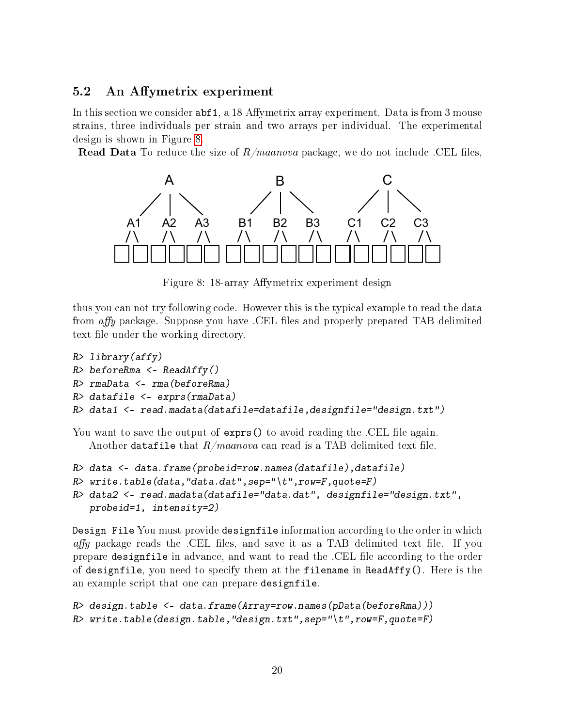### <span id="page-19-0"></span>5.2 An Affymetrix experiment

In this section we consider  $abf1$ , a 18 Affymetrix array experiment. Data is from 3 mouse strains, three individuals per strain and two arrays per individual. The experimental design is shown in Figure [8.](#page-19-1)

**Read Data** To reduce the size of  $R/maanova$  package, we do not include .CEL files,



<span id="page-19-1"></span>Figure 8: 18-array Affymetrix experiment design

thus you can not try following code. However this is the typical example to read the data from  $affy$  package. Suppose you have .CEL files and properly prepared TAB delimited text file under the working directory.

```
R> library (affy)
R> beforeRma <- ReadAffy()
R> rmaData <- rma(beforeRma)
R> datafile <- exprs(rmaData)
R> data1 <- read.madata(datafile=datafile,designfile="design.txt")
```
You want to save the output of exprs() to avoid reading the .CEL file again. Another datafile that  $R/maanova$  can read is a TAB delimited text file.

```
R> data <- data.frame(probeid=row.names(datafile),datafile)
```

```
R write.table(data,"data.dat",sep="\t",row=F,quote=F)
```

```
R> data2 <- read.madata(datafile="data.dat", designfile="design.txt",
   probeid=1, intensity=2)
```
Design File You must provide designfile information according to the order in which *affy* package reads the .CEL files, and save it as a TAB delimited text file. If you prepare designfile in advance, and want to read the .CEL file according to the order of designfile, you need to specify them at the filename in ReadAffy(). Here is the an example script that one can prepare designfile.

```
R> design.table <- data.frame(Array=row.names(pData(beforeRma)))
R> write.table(design.table,"design.txt",sep="\t",row=F,quote=F)
```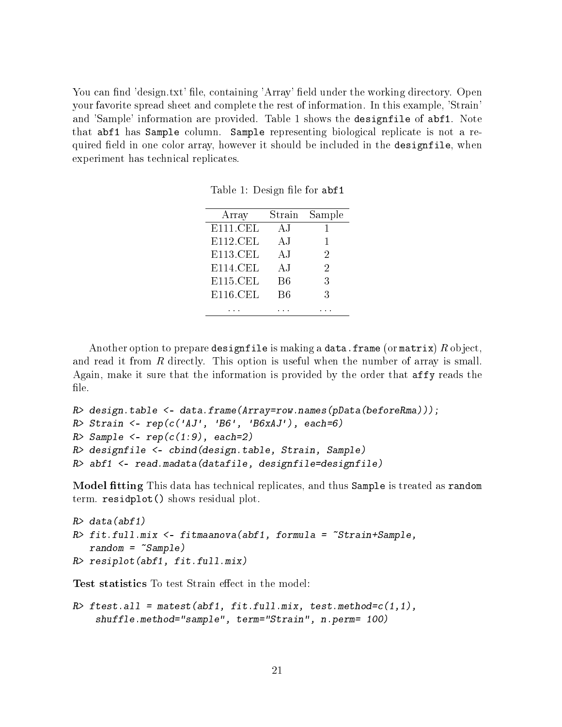You can find 'design.txt' file, containing 'Array' field under the working directory. Open your favorite spread sheet and complete the rest of information. In this example, 'Strain' and 'Sample' information are provided. Table 1 shows the designfile of abf1. Note that abf1 has Sample column. Sample representing biological replicate is not a required field in one color array, however it should be included in the designfile, when experiment has technical replicates.

|  |  | Table 1: Design file for abf1 |  |  |  |
|--|--|-------------------------------|--|--|--|
|--|--|-------------------------------|--|--|--|

| Array    | Strain | Sample       |
|----------|--------|--------------|
| E111.CEL | ΑJ     | $\mathbf{I}$ |
| E112.CEL | ΑJ     | L            |
| E113.CEL | ΑJ     | 2            |
| E114.CEL | ΑJ     | 2            |
| E115.CEL | B6     | 3            |
| E116.CEL | B6     | 3            |
|          |        |              |

Another option to prepare designfile is making a data.frame (or matrix)  $R$  object, and read it from R directly. This option is useful when the number of array is small. Again, make it sure that the information is provided by the order that affy reads the file.

```
R> design.table <- data.frame(Array=row.names(pData(beforeRma)));
R> Strain <- rep(c('AJ', 'B6', 'B6xAJ'), each=6)
R> Sample <- rep(c(1:9), each=2)
R> designfile <- cbind(design.table, Strain, Sample)
R> abf1 <- read.madata(datafile, designfile=designfile)
```
Model tting This data has technical replicates, and thus Sample is treated as random term. residplot() shows residual plot.

```
R > data(abf1)R> fit.full.mix <- fitmaanova(abf1, formula = ~Strain+Sample,
   random = <math>\text{Sample})
R> resiplot(abf1, fit.full.mix)
```
**Test statistics** To test Strain effect in the model:

```
R> ftest.all = matest(abf1, fit.full.mix, test.method=c(1,1),
    shuffle.method="sample", term="Strain", n.perm= 100)
```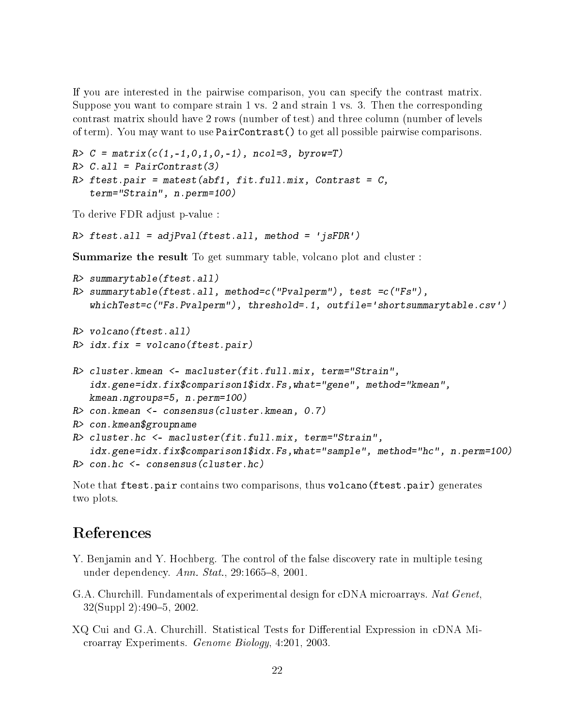If you are interested in the pairwise comparison, you can specify the contrast matrix. Suppose you want to compare strain 1 vs. 2 and strain 1 vs. 3. Then the corresponding contrast matrix should have 2 rows (number of test) and three column (number of levels of term). You may want to use PairContrast() to get all possible pairwise comparisons.

```
R > C = matrix(c(1, -1, 0, 1, 0, -1), ncol=3, by row=T)R > C.all = PairContrast(3)
R> ftest.pair = matest(abf1, fit.full.mix, Contrast = C,
   term="Strain", n.perm=100)
```
To derive FDR adjust p-value :

```
R> ftest.all = adjPval(ftest.all, method = 'jsFDR')
```
Summarize the result To get summary table, volcano plot and cluster :

```
R> summarytable(ftest.all)
R> summarytable(ftest.all, method=c("Pvalperm"), test =c("Fs"),
   whichTest=c("Fs.Pvalperm"), threshold=.1, outfile='shortsummarytable.csv')
R> volcano(ftest.all)
R > i dx.fix = volcano(ftest.pair)R> cluster.kmean <- macluster(fit.full.mix, term="Strain",
   idx.gene=idx.fix$comparison1$idx.Fs,what="gene", method="kmean",
  kmean.ngroups=5, n.perm=100)
R> con.kmean <- consensus(cluster.kmean, 0.7)
R> con.kmean$groupname
R> cluster.hc <- macluster(fit.full.mix, term="Strain",
   idx.gene=idx.fix$comparison1$idx.Fs,what="sample", method="hc", n.perm=100)
R> con.hc <- consensus(cluster.hc)
```
Note that ftest.pair contains two comparisons, thus volcano(ftest.pair) generates two plots.

## References

- Y. Benjamin and Y. Hochberg. The control of the false discovery rate in multiple tesing under dependency.  $Ann. Stat.$ , 29:1665-8, 2001.
- G.A. Churchill. Fundamentals of experimental design for cDNA microarrays. Nat Genet, 32(Suppl 2):490-5, 2002.
- XQ Cui and G.A. Churchill. Statistical Tests for Differential Expression in cDNA Microarray Experiments. Genome Biology, 4:201, 2003.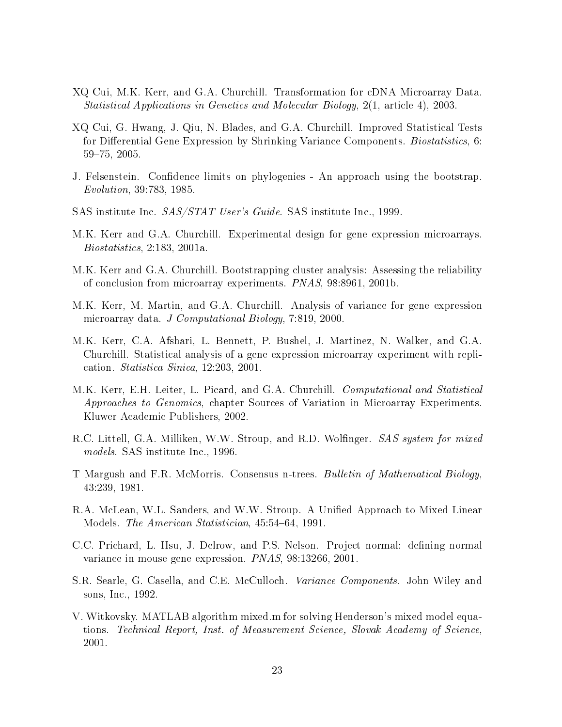- XQ Cui, M.K. Kerr, and G.A. Churchill. Transformation for cDNA Microarray Data. Statistical Applications in Genetics and Molecular Biology, 2(1, article 4), 2003.
- XQ Cui, G. Hwang, J. Qiu, N. Blades, and G.A. Churchill. Improved Statistical Tests for Differential Gene Expression by Shrinking Variance Components. Biostatistics, 6: 59-75, 2005.
- J. Felsenstein. Confidence limits on phylogenies An approach using the bootstrap. Evolution, 39:783, 1985.
- SAS institute Inc. SAS/STAT User's Guide. SAS institute Inc., 1999.
- M.K. Kerr and G.A. Churchill. Experimental design for gene expression microarrays. Biostatistics, 2:183, 2001a.
- M.K. Kerr and G.A. Churchill. Bootstrapping cluster analysis: Assessing the reliability of conclusion from microarray experiments. PNAS, 98:8961, 2001b.
- M.K. Kerr, M. Martin, and G.A. Churchill. Analysis of variance for gene expression microarray data. J Computational Biology, 7:819, 2000.
- M.K. Kerr, C.A. Afshari, L. Bennett, P. Bushel, J. Martinez, N. Walker, and G.A. Churchill. Statistical analysis of a gene expression microarray experiment with replication. Statistica Sinica, 12:203, 2001.
- M.K. Kerr, E.H. Leiter, L. Picard, and G.A. Churchill. *Computational and Statistical* Approaches to Genomics, chapter Sources of Variation in Microarray Experiments. Kluwer Academic Publishers, 2002.
- R.C. Littell, G.A. Milliken, W.W. Stroup, and R.D. Wolfinger. SAS system for mixed models. SAS institute Inc., 1996.
- T Margush and F.R. McMorris. Consensus n-trees. Bulletin of Mathematical Biology, 43:239, 1981.
- R.A. McLean, W.L. Sanders, and W.W. Stroup. A Unified Approach to Mixed Linear Models. *The American Statistician*, 45:54–64, 1991.
- C.C. Prichard, L. Hsu, J. Delrow, and P.S. Nelson. Project normal: defining normal variance in mouse gene expression. PNAS, 98:13266, 2001.
- S.R. Searle, G. Casella, and C.E. McCulloch. *Variance Components*. John Wiley and sons, Inc., 1992.
- V. Witkovsky. MATLAB algorithm mixed.m for solving Henderson's mixed model equations. Technical Report, Inst. of Measurement Science, Slovak Academy of Science, 2001.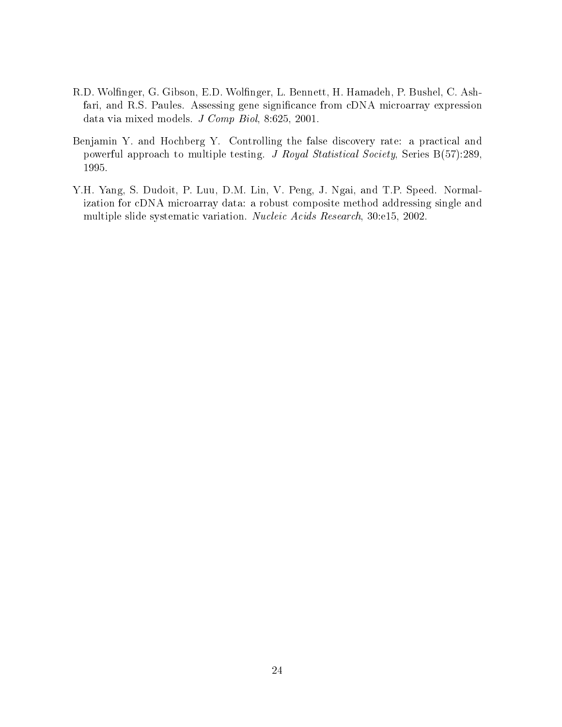- R.D. Wolfinger, G. Gibson, E.D. Wolfinger, L. Bennett, H. Hamadeh, P. Bushel, C. Ashfari, and R.S. Paules. Assessing gene significance from cDNA microarray expression data via mixed models. J Comp Biol, 8:625, 2001.
- Benjamin Y. and Hochberg Y. Controlling the false discovery rate: a practical and powerful approach to multiple testing. J Royal Statistical Society, Series B(57):289, 1995.
- Y.H. Yang, S. Dudoit, P. Luu, D.M. Lin, V. Peng, J. Ngai, and T.P. Speed. Normalization for cDNA microarray data: a robust composite method addressing single and multiple slide systematic variation. Nucleic Acids Research, 30:e15, 2002.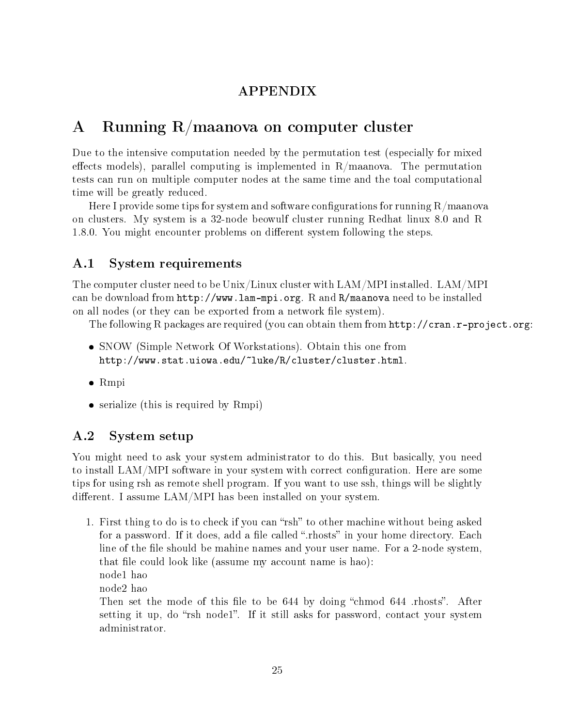### APPENDIX

## <span id="page-24-0"></span>A Running R/maanova on computer cluster

Due to the intensive computation needed by the permutation test (especially for mixed effects models), parallel computing is implemented in  $R/m$ aanova. The permutation tests can run on multiple computer nodes at the same time and the toal computational time will be greatly reduced.

Here I provide some tips for system and software configurations for running  $R/ma$ anova on clusters. My system is a 32-node beowulf cluster running Redhat linux 8.0 and R 1.8.0. You might encounter problems on different system following the steps.

### <span id="page-24-1"></span>A.1 System requirements

The computer cluster need to be Unix/Linux cluster with LAM/MPI installed. LAM/MPI can be download from http://www.lam-mpi.org. R and R/maanova need to be installed on all nodes (or they can be exported from a network file system).

The following R packages are required (you can obtain them from http://cran.r-project.org:

- SNOW (Simple Network Of Workstations). Obtain this one from http://www.stat.uiowa.edu/~luke/R/cluster/cluster.html.
- Rmpi
- serialize (this is required by Rmpi)

### <span id="page-24-2"></span>A.2 System setup

You might need to ask your system administrator to do this. But basically, you need to install LAM/MPI software in your system with correct configuration. Here are some tips for using rsh as remote shell program. If you want to use ssh, things will be slightly different. I assume  $\text{LAM}/\text{MPI}$  has been installed on your system.

1. First thing to do is to check if you can "rsh" to other machine without being asked for a password. If it does, add a file called ".rhosts" in your home directory. Each line of the file should be mahine names and your user name. For a 2-node system, that file could look like (assume my account name is hao): node1 hao node2 hao Then set the mode of this file to be  $644$  by doing "chmod  $644$  .rhosts". After setting it up, do "rsh node1". If it still asks for password, contact your system administrator.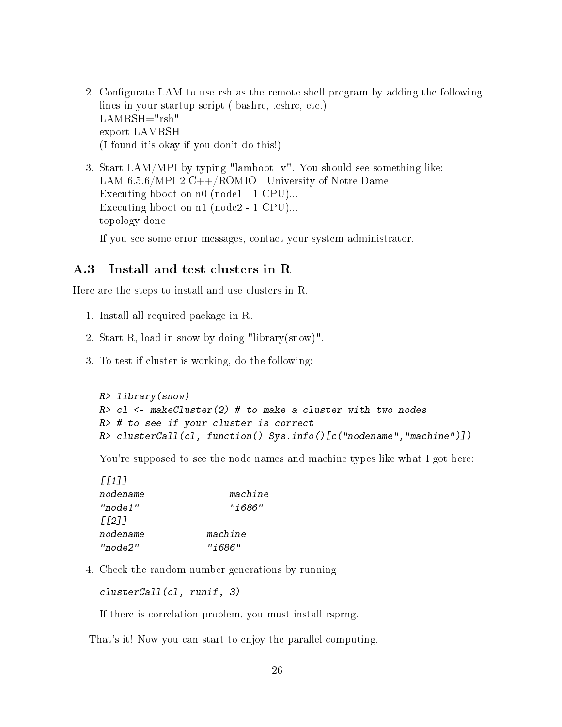- 2. Configurate LAM to use rsh as the remote shell program by adding the following lines in your startup script (.bashrc, .cshrc, etc.) LAMRSH="rsh" export LAMRSH (I found it's okay if you don't do this!)
- 3. Start LAM/MPI by typing "lamboot -v". You should see something like: LAM  $6.5.6/MPI$  2 C++/ROMIO - University of Notre Dame Executing hboot on n0 (node1 - 1 CPU)... Executing hboot on n1 (node2 - 1 CPU)... topology done

If you see some error messages, contact your system administrator.

#### <span id="page-25-0"></span>A.3 Install and test clusters in R

Here are the steps to install and use clusters in R.

- 1. Install all required package in R.
- 2. Start R, load in snow by doing "library(snow)".
- 3. To test if cluster is working, do the following:

```
R> library(snow)
R> cl <- makeCluster(2) # to make a cluster with two nodes
R> # to see if your cluster is correct
R> clusterCall(cl, function() Sys.info()[c("nodename","machine")])
```
You're supposed to see the node names and machine types like what I got here:

| machine   |
|-----------|
| "i686"    |
|           |
| machine   |
| " i 686 " |
|           |

4. Check the random number generations by running

clusterCall(cl, runif, 3)

If there is correlation problem, you must install rsprng.

That's it! Now you can start to enjoy the parallel computing.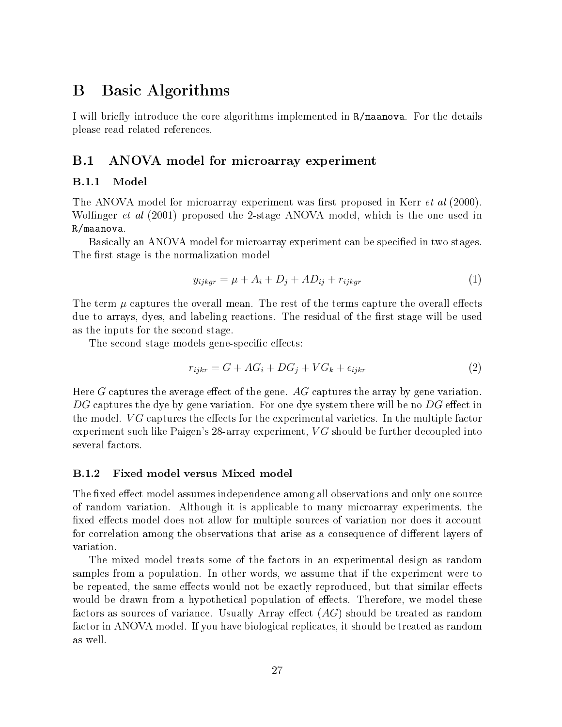## <span id="page-26-0"></span>B Basic Algorithms

I will briefly introduce the core algorithms implemented in R/maanova. For the details please read related references.

### <span id="page-26-1"></span>B.1 ANOVA model for microarray experiment

#### <span id="page-26-2"></span>B.1.1 Model

The ANOVA model for microarray experiment was first proposed in Kerr *et al* (2000). Wolfinger *et al* (2001) proposed the 2-stage ANOVA model, which is the one used in R/maanova.

Basically an ANOVA model for microarray experiment can be specified in two stages. The first stage is the normalization model

$$
y_{ijkgr} = \mu + A_i + D_j + AD_{ij} + r_{ijkgr} \tag{1}
$$

The term  $\mu$  captures the overall mean. The rest of the terms capture the overall effects due to arrays, dyes, and labeling reactions. The residual of the first stage will be used as the inputs for the second stage.

The second stage models gene-specific effects:

$$
r_{ijkr} = G + AG_i + DG_j + VG_k + \epsilon_{ijkr}
$$
\n<sup>(2)</sup>

Here G captures the average effect of the gene.  $AG$  captures the array by gene variation.  $DG$  captures the dye by gene variation. For one dye system there will be no  $DG$  effect in the model.  $VG$  captures the effects for the experimental varieties. In the multiple factor experiment such like Paigen's 28-array experiment,  $VG$  should be further decoupled into several factors.

#### <span id="page-26-3"></span>B.1.2 Fixed model versus Mixed model

The fixed effect model assumes independence among all observations and only one source of random variation. Although it is applicable to many microarray experiments, the fixed effects model does not allow for multiple sources of variation nor does it account for correlation among the observations that arise as a consequence of different layers of variation.

The mixed model treats some of the factors in an experimental design as random samples from a population. In other words, we assume that if the experiment were to be repeated, the same effects would not be exactly reproduced, but that similar effects would be drawn from a hypothetical population of effects. Therefore, we model these factors as sources of variance. Usually Array effect  $(AG)$  should be treated as random factor in ANOVA model. If you have biological replicates, it should be treated as random as well.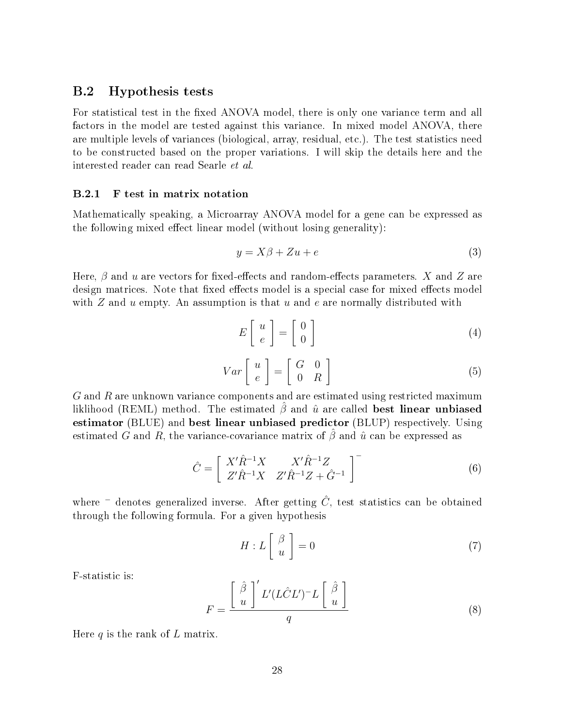#### <span id="page-27-0"></span>B.2 Hypothesis tests

For statistical test in the fixed ANOVA model, there is only one variance term and all factors in the model are tested against this variance. In mixed model ANOVA, there are multiple levels of variances (biological, array, residual, etc.). The test statistics need to be constructed based on the proper variations. I will skip the details here and the interested reader can read Searle et al.

#### <span id="page-27-1"></span>B.2.1 F test in matrix notation

Mathematically speaking, a Microarray ANOVA model for a gene can be expressed as the following mixed effect linear model (without losing generality):

$$
y = X\beta + Zu + e \tag{3}
$$

Here,  $\beta$  and  $u$  are vectors for fixed-effects and random-effects parameters.  $X$  and  $Z$  are design matrices. Note that fixed effects model is a special case for mixed effects model with  $Z$  and  $u$  empty. An assumption is that  $u$  and  $e$  are normally distributed with

$$
E\left[\begin{array}{c} u \\ e \end{array}\right] = \left[\begin{array}{c} 0 \\ 0 \end{array}\right] \tag{4}
$$

$$
Var\left[\begin{array}{c} u \\ e \end{array}\right] = \left[\begin{array}{cc} G & 0 \\ 0 & R \end{array}\right] \tag{5}
$$

G and R are unknown variance components and are estimated using restricted maximum liklihood (REML) method. The estimated  $\hat{\beta}$  and  $\hat{u}$  are called **best linear unbiased** estimator (BLUE) and best linear unbiased predictor (BLUP) respectively. Using estimated G and R, the variance-covariance matrix of  $\beta$  and  $\hat{u}$  can be expressed as

$$
\hat{C} = \begin{bmatrix} X'\hat{R}^{-1}X & X'\hat{R}^{-1}Z \\ Z'\hat{R}^{-1}X & Z'\hat{R}^{-1}Z + \hat{G}^{-1} \end{bmatrix}^{-}
$$
(6)

where  $\bar{z}$  denotes generalized inverse. After getting  $\hat{C}$ , test statistics can be obtained through the following formula. For a given hypothesis

$$
H: L\left[\begin{array}{c} \beta \\ u \end{array}\right] = 0 \tag{7}
$$

F-statistic is:

<span id="page-27-2"></span>
$$
F = \frac{\left[\begin{array}{c}\hat{\beta} \\ u\end{array}\right]' L'(L\hat{C}L')^{-}L\left[\begin{array}{c}\hat{\beta} \\ u\end{array}\right]}{q}
$$
(8)

Here  $q$  is the rank of  $L$  matrix.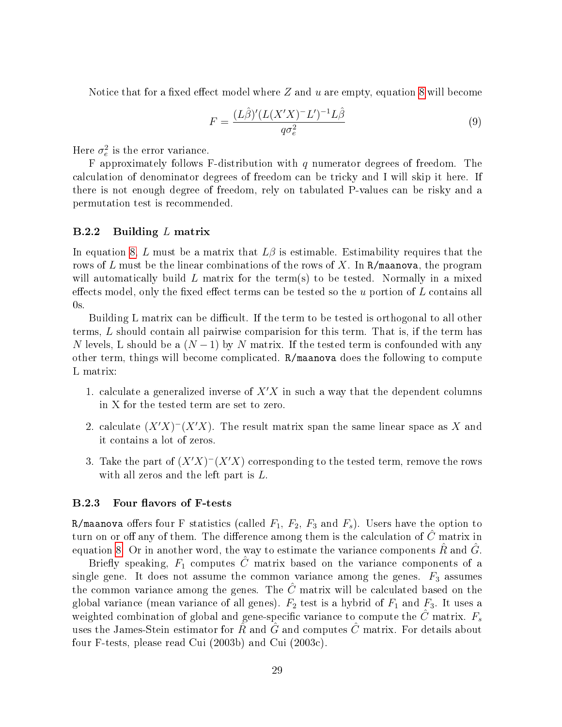Notice that for a fixed effect model where Z and u are empty, equation [8](#page-27-2) will become

$$
F = \frac{(L\hat{\beta})'(L(X'X)^{-}L')^{-1}L\hat{\beta}}{q\sigma_e^2} \tag{9}
$$

Here  $\sigma_e^2$  is the error variance.

F approximately follows F-distribution with  $q$  numerator degrees of freedom. The calculation of denominator degrees of freedom can be tricky and I will skip it here. If there is not enough degree of freedom, rely on tabulated P-values can be risky and a permutation test is recommended.

#### <span id="page-28-0"></span> $B.2.2$  Building L matrix

In equation [8,](#page-27-2) L must be a matrix that  $L\beta$  is estimable. Estimability requires that the rows of L must be the linear combinations of the rows of X. In  $R/m$  and  $\alpha$ , the program will automatically build L matrix for the term(s) to be tested. Normally in a mixed effects model, only the fixed effect terms can be tested so the u portion of  $L$  contains all  $0\mathrm{s}$  .

Building L matrix can be difficult. If the term to be tested is orthogonal to all other terms, L should contain all pairwise comparision for this term. That is, if the term has N levels, L should be a  $(N-1)$  by N matrix. If the tested term is confounded with any other term, things will become complicated. R/maanova does the following to compute L matrix:

- 1. calculate a generalized inverse of  $X'X$  in such a way that the dependent columns in X for the tested term are set to zero.
- 2. calculate  $(X'X)^{-}(X'X)$ . The result matrix span the same linear space as X and it contains a lot of zeros.
- 3. Take the part of  $(X'X)^{-1}(X'X)$  corresponding to the tested term, remove the rows with all zeros and the left part is L.

#### <span id="page-28-1"></span>B.2.3 Four flavors of F-tests

R/maanova offers four F statistics (called  $F_1, F_2, F_3$  and  $F_s$ ). Users have the option to turn on or off any of them. The difference among them is the calculation of  $\tilde{C}$  matrix in equation [8.](#page-27-2) Or in another word, the way to estimate the variance components  $\hat{R}$  and  $\hat{G}$ .

Briefly speaking,  $F_1$  computes  $\hat{C}$  matrix based on the variance components of a single gene. It does not assume the common variance among the genes.  $F_3$  assumes the common variance among the genes. The  $\hat{C}$  matrix will be calculated based on the global variance (mean variance of all genes).  $F_2$  test is a hybrid of  $F_1$  and  $F_3$ . It uses a weighted combination of global and gene-specific variance to compute the  $\hat{C}$  matrix.  $F_s$ uses the James-Stein estimator for  $\hat{R}$  and  $\hat{G}$  and computes  $\hat{C}$  matrix. For details about four F-tests, please read Cui (2003b) and Cui (2003c).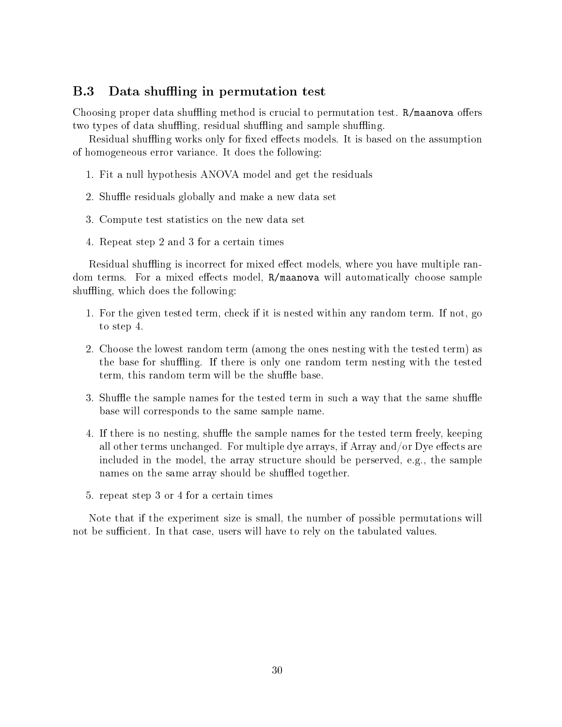### <span id="page-29-0"></span>B.3 Data shuffling in permutation test

Choosing proper data shuffling method is crucial to permutation test.  $R/m$ aanova offers two types of data shuffling, residual shuffling and sample shuffling.

Residual shuffling works only for fixed effects models. It is based on the assumption of homogeneous error variance. It does the following:

- 1. Fit a null hypothesis ANOVA model and get the residuals
- 2. Shuffle residuals globally and make a new data set
- 3. Compute test statistics on the new data set
- 4. Repeat step 2 and 3 for a certain times

Residual shuffling is incorrect for mixed effect models, where you have multiple random terms. For a mixed effects model, R/maanova will automatically choose sample shuffling, which does the following:

- 1. For the given tested term, check if it is nested within any random term. If not, go to step 4.
- 2. Choose the lowest random term (among the ones nesting with the tested term) as the base for shuffling. If there is only one random term nesting with the tested term, this random term will be the shuffle base.
- 3. Shuffle the sample names for the tested term in such a way that the same shuffle base will corresponds to the same sample name.
- 4. If there is no nesting, shuffle the sample names for the tested term freely, keeping all other terms unchanged. For multiple dye arrays, if  $Array$  and/or Dye effects are included in the model, the array structure should be perserved, e.g., the sample names on the same array should be shuffled together.
- 5. repeat step 3 or 4 for a certain times

Note that if the experiment size is small, the number of possible permutations will not be sufficient. In that case, users will have to rely on the tabulated values.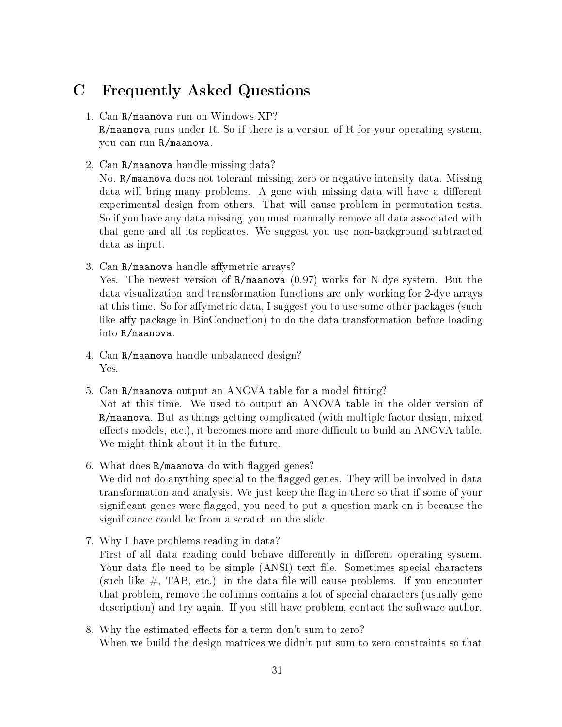## <span id="page-30-0"></span>C Frequently Asked Questions

#### 1. Can R/maanova run on Windows XP?

R/maanova runs under R. So if there is a version of R for your operating system, you can run R/maanova.

2. Can R/maanova handle missing data?

No. R/maanova does not tolerant missing, zero or negative intensity data. Missing data will bring many problems. A gene with missing data will have a different experimental design from others. That will cause problem in permutation tests. So if you have any data missing, you must manually remove all data associated with that gene and all its replicates. We suggest you use non-background subtracted data as input.

3. Can R/maanova handle affymetric arrays?

Yes. The newest version of R/maanova (0.97) works for N-dye system. But the data visualization and transformation functions are only working for 2-dye arrays at this time. So for affymetric data, I suggest you to use some other packages (such like affy package in BioConduction) to do the data transformation before loading into R/maanova.

- 4. Can R/maanova handle unbalanced design? Yes.
- 5. Can R/maanova output an ANOVA table for a model fitting? Not at this time. We used to output an ANOVA table in the older version of R/maanova. But as things getting complicated (with multiple factor design, mixed effects models, etc.), it becomes more and more difficult to build an ANOVA table. We might think about it in the future.
- 6. What does R/maanova do with flagged genes? We did not do anything special to the flagged genes. They will be involved in data transformation and analysis. We just keep the flag in there so that if some of your significant genes were flagged, you need to put a question mark on it because the significance could be from a scratch on the slide.
- 7. Why I have problems reading in data? First of all data reading could behave differently in different operating system. Your data file need to be simple (ANSI) text file. Sometimes special characters (such like  $\#$ , TAB, etc.) in the data file will cause problems. If you encounter that problem, remove the columns contains a lot of special characters (usually gene description) and try again. If you still have problem, contact the software author.
- 8. Why the estimated effects for a term don't sum to zero? When we build the design matrices we didn't put sum to zero constraints so that